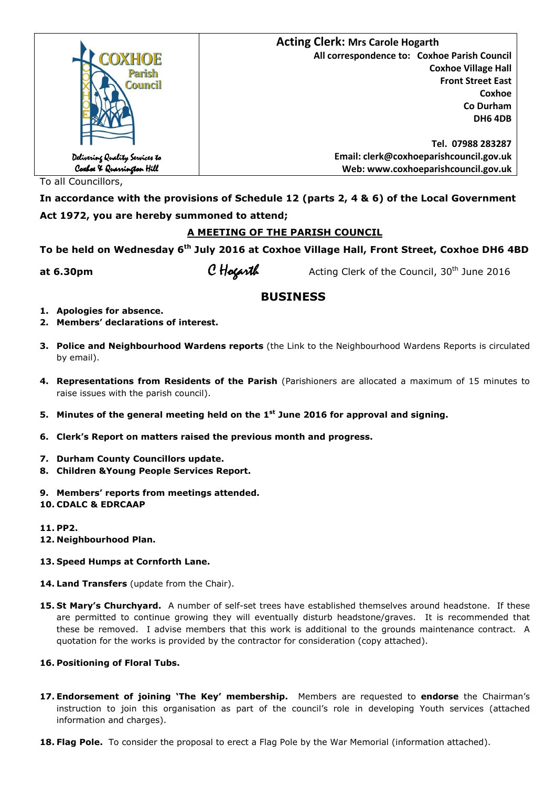|                                                             | <b>Acting Clerk: Mrs Carole Hogarth</b>      |  |
|-------------------------------------------------------------|----------------------------------------------|--|
| OXHOE                                                       | All correspondence to: Coxhoe Parish Council |  |
| Parish                                                      | <b>Coxhoe Village Hall</b>                   |  |
| Council                                                     | <b>Front Street East</b>                     |  |
|                                                             | Coxhoe                                       |  |
|                                                             | Co Durham                                    |  |
|                                                             | <b>DH6 4DB</b>                               |  |
|                                                             |                                              |  |
|                                                             | Tel. 07988 283287                            |  |
|                                                             | Email: clerk@coxhoeparishcouncil.gov.uk      |  |
| Delivering Quality Services to<br>Coxboe X Quarrington Hill | Web: www.coxhoeparishcouncil.gov.uk          |  |

To all Councillors,

**In accordance with the provisions of Schedule 12 (parts 2, 4 & 6) of the Local Government Act 1972, you are hereby summoned to attend;** 

# **A MEETING OF THE PARISH COUNCIL**

**To be held on Wednesday 6th July 2016 at Coxhoe Village Hall, Front Street, Coxhoe DH6 4BD** 

**at 6.30pm C Hogarth** Acting Clerk of the Council, 30<sup>th</sup> June 2016

# **BUSINESS**

- **1. Apologies for absence.**
- **2. Members' declarations of interest.**
- **3. Police and Neighbourhood Wardens reports** (the Link to the Neighbourhood Wardens Reports is circulated by email).
- **4. Representations from Residents of the Parish** (Parishioners are allocated a maximum of 15 minutes to raise issues with the parish council).
- **5. Minutes of the general meeting held on the 1st June 2016 for approval and signing.**
- **6. Clerk's Report on matters raised the previous month and progress.**
- **7. Durham County Councillors update.**
- **8. Children &Young People Services Report.**
- **9. Members' reports from meetings attended.**
- **10. CDALC & EDRCAAP**
- **11. PP2.**
- **12. Neighbourhood Plan.**
- **13. Speed Humps at Cornforth Lane.**
- **14. Land Transfers** (update from the Chair).
- **15. St Mary's Churchyard.** A number of self-set trees have established themselves around headstone. If these are permitted to continue growing they will eventually disturb headstone/graves. It is recommended that these be removed. I advise members that this work is additional to the grounds maintenance contract. A quotation for the works is provided by the contractor for consideration (copy attached).

## **16. Positioning of Floral Tubs.**

- **17. Endorsement of joining 'The Key' membership.** Members are requested to **endorse** the Chairman's instruction to join this organisation as part of the council's role in developing Youth services (attached information and charges).
- **18. Flag Pole.** To consider the proposal to erect a Flag Pole by the War Memorial (information attached).